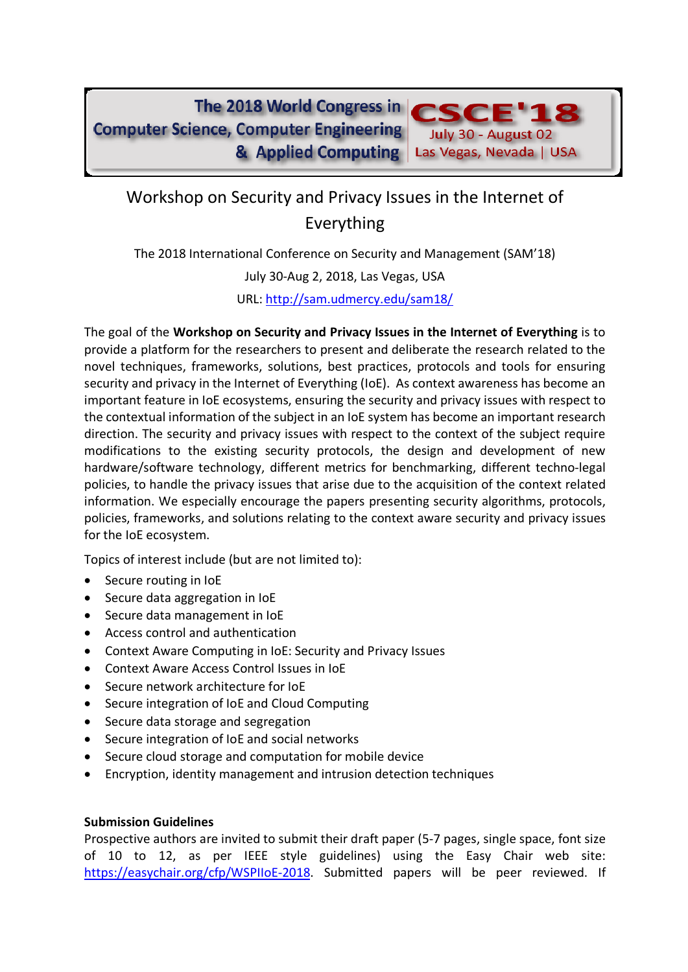The 2018 World Congress in **Computer Science, Computer Engineering** & Applied Computing



July 30 - August 02

Las Vegas, Nevada | USA

The 2018 International Conference on Security and Management (SAM'18)

July 30-Aug 2, 2018, Las Vegas, USA

URL: http://sam.udmercy.edu/sam18/

The goal of the **Workshop on Security and Privacy Issues in the Internet of Everything** is to provide a platform for the researchers to present and deliberate the research related to the novel techniques, frameworks, solutions, best practices, protocols and tools for ensuring security and privacy in the Internet of Everything (IoE). As context awareness has become an important feature in IoE ecosystems, ensuring the security and privacy issues with respect to the contextual information of the subject in an IoE system has become an important research direction. The security and privacy issues with respect to the context of the subject require modifications to the existing security protocols, the design and development of new hardware/software technology, different metrics for benchmarking, different techno-legal policies, to handle the privacy issues that arise due to the acquisition of the context related information. We especially encourage the papers presenting security algorithms, protocols, policies, frameworks, and solutions relating to the context aware security and privacy issues for the IoE ecosystem.

Topics of interest include (but are not limited to):

- Secure routing in IoE
- Secure data aggregation in IoE
- Secure data management in IoE
- Access control and authentication
- Context Aware Computing in IoE: Security and Privacy Issues
- Context Aware Access Control Issues in IoE
- Secure network architecture for IoE
- Secure integration of IoE and Cloud Computing
- Secure data storage and segregation
- Secure integration of IoE and social networks
- Secure cloud storage and computation for mobile device
- Encryption, identity management and intrusion detection techniques

## **Submission Guidelines**

Prospective authors are invited to submit their draft paper (5-7 pages, single space, font size of 10 to 12, as per IEEE style guidelines) using the Easy Chair web site: https://easychair.org/cfp/WSPIIoE-2018. Submitted papers will be peer reviewed. If